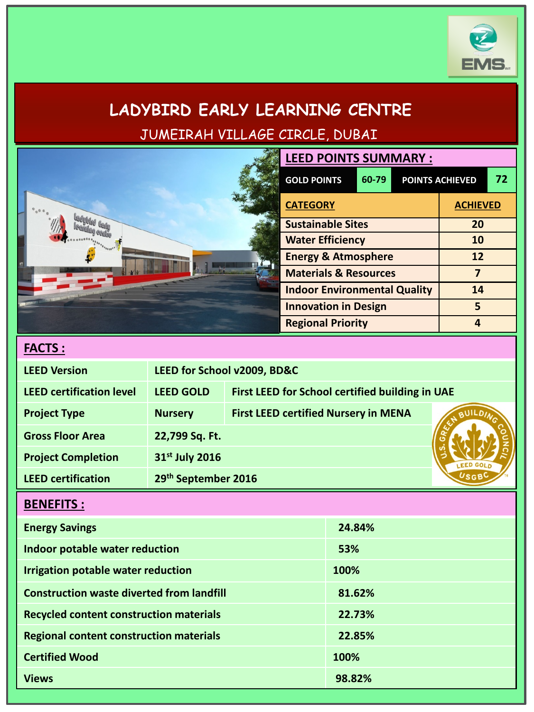

# **LADYBIRD EARLY LEARNING CENTRE** JUMEIRAH VILLAGE CIRCLE, DUBAI

| <b>LEED POINTS SUMMARY :</b>        |       |                 |                        |    |
|-------------------------------------|-------|-----------------|------------------------|----|
| <b>GOLD POINTS</b>                  | 60-79 |                 | <b>POINTS ACHIEVED</b> | 72 |
| <b>CATEGORY</b>                     |       | <b>ACHIEVED</b> |                        |    |
| <b>Sustainable Sites</b>            |       | 20              |                        |    |
| <b>Water Efficiency</b>             |       |                 | <b>10</b>              |    |
| <b>Energy &amp; Atmosphere</b>      |       | 12              |                        |    |
| <b>Materials &amp; Resources</b>    |       |                 |                        |    |
| <b>Indoor Environmental Quality</b> |       |                 | 14                     |    |
| <b>Innovation in Design</b>         |       |                 | 5                      |    |
| <b>Regional Priority</b>            |       |                 |                        |    |

| <b>FACT</b> | ت | ٠ |
|-------------|---|---|
|             |   |   |

| <b>LEED Version</b>             | LEED for School v2009, BD&C |                                                 |  |
|---------------------------------|-----------------------------|-------------------------------------------------|--|
| <b>LEED certification level</b> | <b>LEED GOLD</b>            | First LEED for School certified building in UAE |  |
| <b>Project Type</b>             | <b>Nursery</b>              | <b>First LEED certified Nursery in MENA</b>     |  |
| <b>Gross Floor Area</b>         | 22,799 Sq. Ft.              |                                                 |  |
| <b>Project Completion</b>       | 31st July 2016              |                                                 |  |
| <b>LEED certification</b>       | 29th September 2016         |                                                 |  |

## **BENEFITS :**

| <b>Energy Savings</b>                            | 24.84% |
|--------------------------------------------------|--------|
| Indoor potable water reduction                   | 53%    |
| Irrigation potable water reduction               | 100%   |
| <b>Construction waste diverted from landfill</b> | 81.62% |
| <b>Recycled content construction materials</b>   | 22.73% |
| <b>Regional content construction materials</b>   | 22.85% |
| <b>Certified Wood</b>                            | 100%   |
| <b>Views</b>                                     | 98.82% |